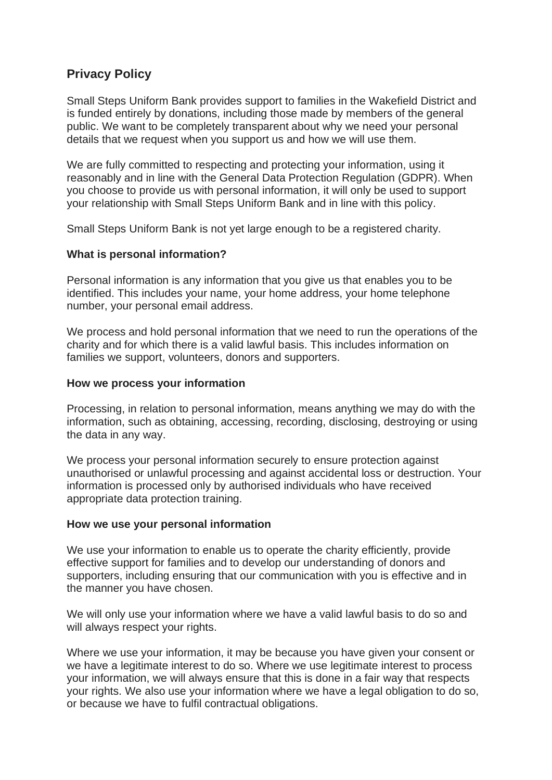# **Privacy Policy**

Small Steps Uniform Bank provides support to families in the Wakefield District and is funded entirely by donations, including those made by members of the general public. We want to be completely transparent about why we need your personal details that we request when you support us and how we will use them.

We are fully committed to respecting and protecting your information, using it reasonably and in line with the General Data Protection Regulation (GDPR). When you choose to provide us with personal information, it will only be used to support your relationship with Small Steps Uniform Bank and in line with this policy.

Small Steps Uniform Bank is not yet large enough to be a registered charity.

## **What is personal information?**

Personal information is any information that you give us that enables you to be identified. This includes your name, your home address, your home telephone number, your personal email address.

We process and hold personal information that we need to run the operations of the charity and for which there is a valid lawful basis. This includes information on families we support, volunteers, donors and supporters.

#### **How we process your information**

Processing, in relation to personal information, means anything we may do with the information, such as obtaining, accessing, recording, disclosing, destroying or using the data in any way.

We process your personal information securely to ensure protection against unauthorised or unlawful processing and against accidental loss or destruction. Your information is processed only by authorised individuals who have received appropriate data protection training.

#### **How we use your personal information**

We use your information to enable us to operate the charity efficiently, provide effective support for families and to develop our understanding of donors and supporters, including ensuring that our communication with you is effective and in the manner you have chosen.

We will only use your information where we have a valid lawful basis to do so and will always respect your rights.

Where we use your information, it may be because you have given your consent or we have a legitimate interest to do so. Where we use legitimate interest to process your information, we will always ensure that this is done in a fair way that respects your rights. We also use your information where we have a legal obligation to do so, or because we have to fulfil contractual obligations.